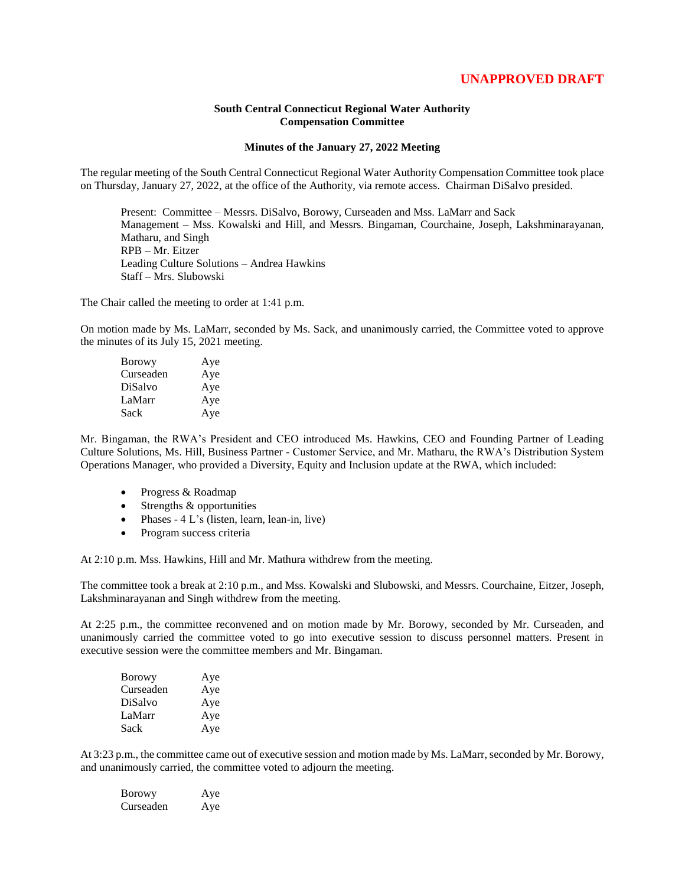## **UNAPPROVED DRAFT**

## **South Central Connecticut Regional Water Authority Compensation Committee**

## **Minutes of the January 27, 2022 Meeting**

The regular meeting of the South Central Connecticut Regional Water Authority Compensation Committee took place on Thursday, January 27, 2022, at the office of the Authority, via remote access. Chairman DiSalvo presided.

Present: Committee – Messrs. DiSalvo, Borowy, Curseaden and Mss. LaMarr and Sack Management – Mss. Kowalski and Hill, and Messrs. Bingaman, Courchaine, Joseph, Lakshminarayanan, Matharu, and Singh RPB – Mr. Eitzer Leading Culture Solutions – Andrea Hawkins Staff – Mrs. Slubowski

The Chair called the meeting to order at 1:41 p.m.

On motion made by Ms. LaMarr, seconded by Ms. Sack, and unanimously carried, the Committee voted to approve the minutes of its July 15, 2021 meeting.

| <b>Borowy</b> | Aye |
|---------------|-----|
| Curseaden     | Aye |
| DiSalvo       | Aye |
| LaMarr        | Aye |
| Sack          | Aye |

Mr. Bingaman, the RWA's President and CEO introduced Ms. Hawkins, CEO and Founding Partner of Leading Culture Solutions, Ms. Hill, Business Partner - Customer Service, and Mr. Matharu, the RWA's Distribution System Operations Manager, who provided a Diversity, Equity and Inclusion update at the RWA, which included:

- Progress & Roadmap
- $\bullet$  Strengths & opportunities
- Phases  $4 L's$  (listen, learn, lean-in, live)
- Program success criteria

At 2:10 p.m. Mss. Hawkins, Hill and Mr. Mathura withdrew from the meeting.

The committee took a break at 2:10 p.m., and Mss. Kowalski and Slubowski, and Messrs. Courchaine, Eitzer, Joseph, Lakshminarayanan and Singh withdrew from the meeting.

At 2:25 p.m., the committee reconvened and on motion made by Mr. Borowy, seconded by Mr. Curseaden, and unanimously carried the committee voted to go into executive session to discuss personnel matters. Present in executive session were the committee members and Mr. Bingaman.

| <b>Borowy</b> | Aye |
|---------------|-----|
| Curseaden     | Aye |
| DiSalvo       | Aye |
| LaMarr        | Aye |
| Sack          | Aye |

At 3:23 p.m., the committee came out of executive session and motion made by Ms. LaMarr, seconded by Mr. Borowy, and unanimously carried, the committee voted to adjourn the meeting.

| <b>Borowy</b> | Aye |
|---------------|-----|
| Curseaden     | Aye |